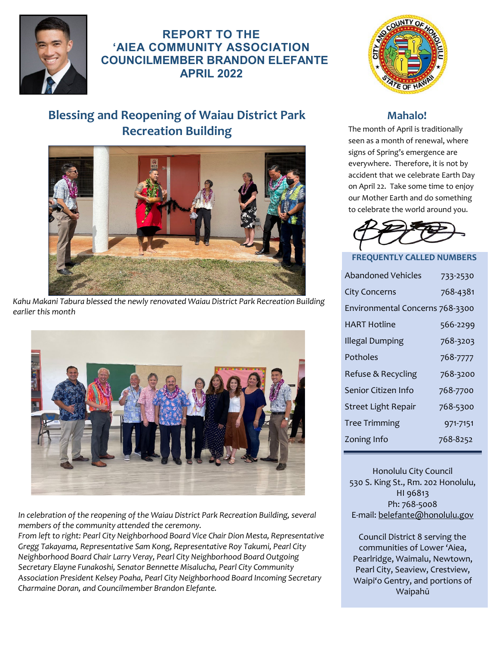

**REPORT TO THE 'AIEA COMMUNITY ASSOCIATION COUNCILMEMBER BRANDON ELEFANTE APRIL 2022**

# **Blessing and Reopening of Waiau District Park Recreation Building**



*Kahu Makani Tabura blessed the newly renovated Waiau District Park Recreation Building earlier this month* 



*In celebration of the reopening of the Waiau District Park Recreation Building, several members of the community attended the ceremony.* 

*From left to right: Pearl City Neighborhood Board Vice Chair Dion Mesta, Representative Gregg Takayama, Representative Sam Kong, Representative Roy Takumi, Pearl City Neighborhood Board Chair Larry Veray, Pearl City Neighborhood Board Outgoing Secretary Elayne Funakoshi, Senator Bennette Misalucha, Pearl City Community Association President Kelsey Poaha, Pearl City Neighborhood Board Incoming Secretary Charmaine Doran, and Councilmember Brandon Elefante.*



#### **Mahalo!**

The month of April is traditionally seen as a month of renewal, where signs of Spring's emergence are everywhere. Therefore, it is not by accident that we celebrate Earth Day on April 22. Take some time to enjoy our Mother Earth and do something to celebrate the world around you.



#### **FREQUENTLY CALLED NUMBERS**

| <b>Abandoned Vehicles</b>       | 733-2530 |
|---------------------------------|----------|
| <b>City Concerns</b>            | 768-4381 |
| Environmental Concerns 768-3300 |          |
| HART Hotline                    | 566-2299 |
| Illegal Dumping                 | 768-3203 |
| Potholes                        | 768-7777 |
| Refuse & Recycling              | 768-3200 |
| Senior Citizen Info             | 768-7700 |
| Street Light Repair             | 768-5300 |
| <b>Tree Trimming</b>            | 971-7151 |
| Zoning Info                     | 768-8252 |
|                                 |          |

Honolulu City Council 530 S. King St., Rm. 202 Honolulu, HI 96813 Ph: 768-5008 E-mail[: belefante@honolulu.gov](mailto:belefante@honolulu.gov)

Council District 8 serving the communities of Lower 'Aiea, Pearlridge, Waimalu, Newtown, Pearl City, Seaview, Crestview, Waipi'o Gentry, and portions of Waipahū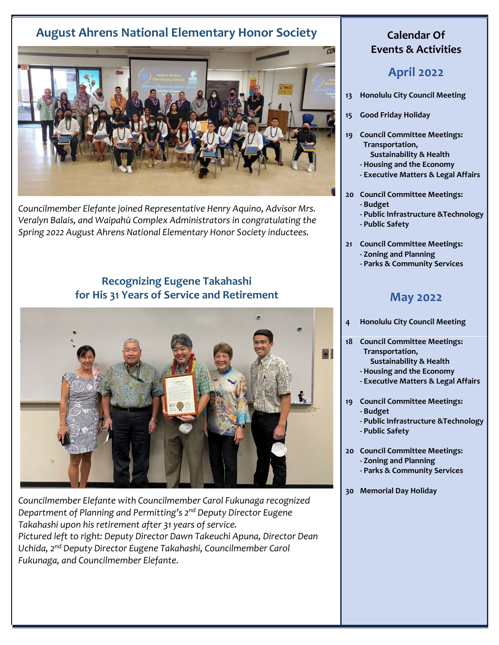## **August Ahrens National Elementary Honor Society**



*Councilmember Elefante joined Representative Henry Aquino, Advisor Mrs. Veralyn Balais, and Waipahū Complex Administrators in congratulating the Spring 2022 August Ahrens National Elementary Honor Society inductees.*

### **Recognizing Eugene Takahashi for His 31 Years of Service and Retirement**



*Councilmember Elefante with Councilmember Carol Fukunaga recognized Department of Planning and Permitting's 2nd Deputy Director Eugene Takahashi upon his retirement after 31 years of service. Pictured left to right: Deputy Director Dawn Takeuchi Apuna, Director Dean Uchida, 2nd Deputy Director Eugene Takahashi, Councilmember Carol Fukunaga, and Councilmember Elefante.*

#### **Calendar Of Events & Activities**

## **April 2022**

- **13 Honolulu City Council Meeting**
- **15 Good Friday Holiday**
- **19 Council Committee Meetings: Transportation, Sustainability & Health**
	- **Housing and the Economy**
	- **Executive Matters & Legal Affairs**
- **20 Council Committee Meetings:** 
	- **Budget**
	- **Public Infrastructure &Technology**
	- **Public Safety**
- **21 Council Committee Meetings: - Zoning and Planning** 
	- **Parks & Community Services**

### **May 2022**

- **4 Honolulu City Council Meeting**
- **18 Council Committee Meetings: Transportation,**
	- **Sustainability & Health**
	- **Housing and the Economy**
	- **Executive Matters & Legal Affairs**
- **19 Council Committee Meetings: - Budget**
	- **Public Infrastructure &Technology**
	- **Public Safety**
- **20 Council Committee Meetings:**
	- **Zoning and Planning**
	- **Parks & Community Services**
- **30 Memorial Day Holiday**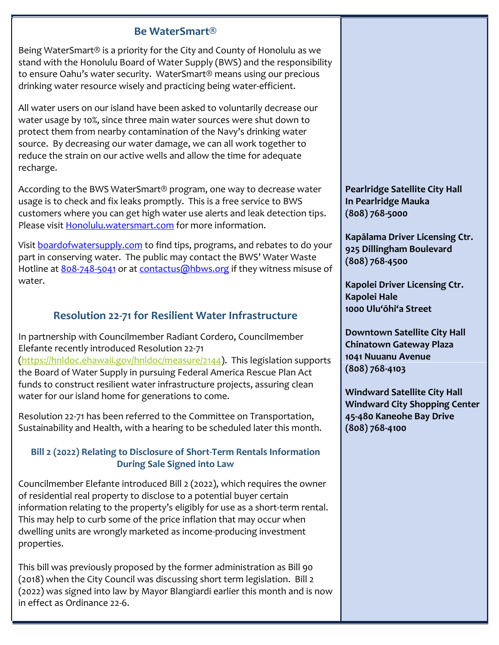#### **Be WaterSmart®**

Being WaterSmart® is a priority for the City and County of Honolulu as we stand with the Honolulu Board of Water Supply (BWS) and the responsibility to ensure Oahu's water security. WaterSmart® means using our precious drinking water resource wisely and practicing being water-efficient.

All water users on our island have been asked to voluntarily decrease our water usage by 10%, since three main water sources were shut down to protect them from nearby contamination of the Navy's drinking water source. By decreasing our water damage, we can all work together to reduce the strain on our active wells and allow the time for adequate recharge.

According to the BWS WaterSmart® program, one way to decrease water usage is to check and fix leaks promptly. This is a free service to BWS customers where you can get high water use alerts and leak detection tips. Please visit Honolulu.watersmart.com for more information.

Visit **boardofwatersupply.com** to find tips, programs, and rebates to do your part in conserving water. The public may contact the BWS' Water Waste Hotline a[t 808-748-5041 o](tel:808-748-5041)r at [contactus@hbws.org](mailto:contactus@hbws.org) if they witness misuse of water.

### **Resolution 22-71 for Resilient Water Infrastructure**

In partnership with Councilmember Radiant Cordero, Councilmember Elefante recently introduced Resolution 22-71 [\(https://hnldoc.ehawaii.gov/hnldoc/measure/2144\)](https://hnldoc.ehawaii.gov/hnldoc/measure/2144). This legislation supports the Board of Water Supply in pursuing Federal America Rescue Plan Act funds to construct resilient water infrastructure projects, assuring clean water for our island home for generations to come.

Resolution 22-71 has been referred to the Committee on Transportation, Sustainability and Health, with a hearing to be scheduled later this month.

#### **Bill 2 (2022) Relating to Disclosure of Short-Term Rentals Information During Sale Signed into Law**

Councilmember Elefante introduced Bill 2 (2022), which requires the owner of residential real property to disclose to a potential buyer certain information relating to the property's eligibly for use as a short-term rental. This may help to curb some of the price inflation that may occur when dwelling units are wrongly marketed as income-producing investment properties.

This bill was previously proposed by the former administration as Bill 90 (2018) when the City Council was discussing short term legislation. Bill 2 (2022) was signed into law by Mayor Blangiardi earlier this month and is now in effect as Ordinance 22-6.

**Pearlridge Satellite City Hall In Pearlridge Mauka (808) 768-5000**

**Kapālama Driver Licensing Ctr. 925 Dillingham Boulevard (808) 768-4500**

**Kapolei Driver Licensing Ctr. Kapolei Hale 1000 Ulu'ōhi'a Street**

**Downtown Satellite City Hall Chinatown Gateway Plaza 1041 Nuuanu Avenue (808) 768-4103**

**Windward Satellite City Hall Windward City Shopping Center 45-480 Kaneohe Bay Drive (808) 768-4100**